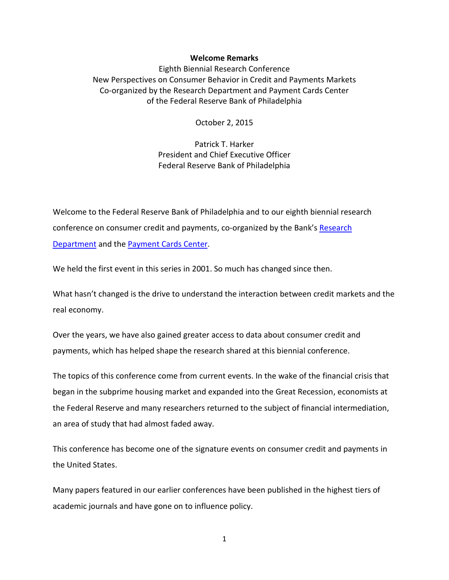## **Welcome Remarks**

Eighth Biennial Research Conference New Perspectives on Consumer Behavior in Credit and Payments Markets Co-organized by the Research Department and Payment Cards Center of the Federal Reserve Bank of Philadelphia

October 2, 2015

Patrick T. Harker President and Chief Executive Officer Federal Reserve Bank of Philadelphia

Welcome to the Federal Reserve Bank of Philadelphia and to our eighth biennial research conference on consumer credit and payments, co-organized by the Bank's [Research](https://www.philadelphiafed.org/research-and-data/)  [Department](https://www.philadelphiafed.org/research-and-data/) and the [Payment Cards Center.](https://www.philadelphiafed.org/consumer-credit-and-payments/payment-cards-center/)

We held the first event in this series in 2001. So much has changed since then.

What hasn't changed is the drive to understand the interaction between credit markets and the real economy.

Over the years, we have also gained greater access to data about consumer credit and payments, which has helped shape the research shared at this biennial conference.

The topics of this conference come from current events. In the wake of the financial crisis that began in the subprime housing market and expanded into the Great Recession, economists at the Federal Reserve and many researchers returned to the subject of financial intermediation, an area of study that had almost faded away.

This conference has become one of the signature events on consumer credit and payments in the United States.

Many papers featured in our earlier conferences have been published in the highest tiers of academic journals and have gone on to influence policy.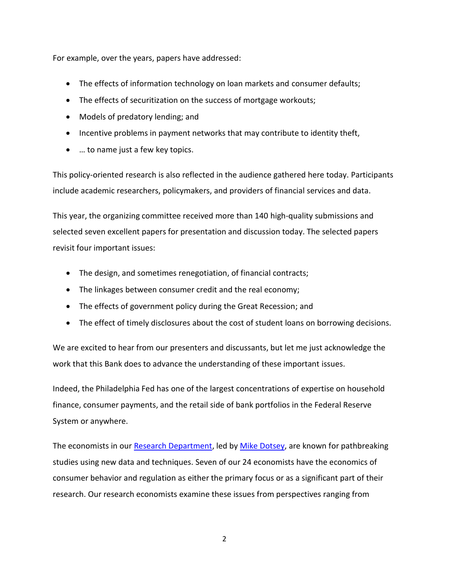For example, over the years, papers have addressed:

- The effects of information technology on loan markets and consumer defaults;
- The effects of securitization on the success of mortgage workouts;
- Models of predatory lending; and
- Incentive problems in payment networks that may contribute to identity theft,
- … to name just a few key topics.

This policy-oriented research is also reflected in the audience gathered here today. Participants include academic researchers, policymakers, and providers of financial services and data.

This year, the organizing committee received more than 140 high-quality submissions and selected seven excellent papers for presentation and discussion today. The selected papers revisit four important issues:

- The design, and sometimes renegotiation, of financial contracts;
- The linkages between consumer credit and the real economy;
- The effects of government policy during the Great Recession; and
- The effect of timely disclosures about the cost of student loans on borrowing decisions.

We are excited to hear from our presenters and discussants, but let me just acknowledge the work that this Bank does to advance the understanding of these important issues.

Indeed, the Philadelphia Fed has one of the largest concentrations of expertise on household finance, consumer payments, and the retail side of bank portfolios in the Federal Reserve System or anywhere.

The economists in our [Research Department,](https://www.philadelphiafed.org/research-and-data/) led by [Mike Dotsey,](https://www.philadelphiafed.org/research-and-data/economists/dotsey) are known for pathbreaking studies using new data and techniques. Seven of our 24 economists have the economics of consumer behavior and regulation as either the primary focus or as a significant part of their research. Our research economists examine these issues from perspectives ranging from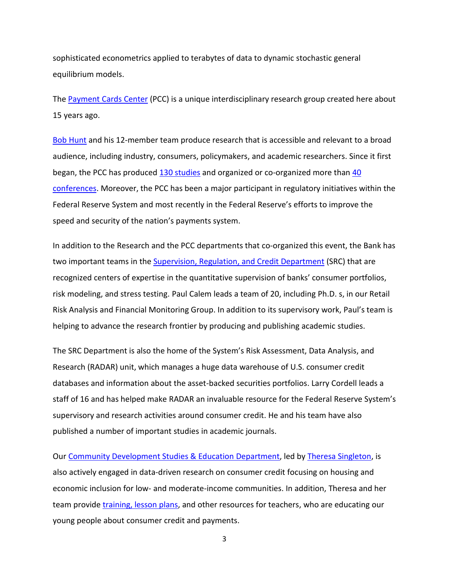sophisticated econometrics applied to terabytes of data to dynamic stochastic general equilibrium models.

The [Payment Cards Center](https://www.philadelphiafed.org/consumer-credit-and-payments/payment-cards-center/) (PCC) is a unique interdisciplinary research group created here about 15 years ago.

[Bob Hunt](https://www.philadelphiafed.org/consumer-credit-and-payments/payment-cards-center/hunt) and his 12-member team produce research that is accessible and relevant to a broad audience, including industry, consumers, policymakers, and academic researchers. Since it first began, the PCC has produced [130 studies](https://www.philadelphiafed.org/consumer-credit-and-payments/payment-cards-center/publications) and organized or co-organized more than 40 [conferences.](https://www.philadelphiafed.org/consumer-credit-and-payments/payment-cards-center/events) Moreover, the PCC has been a major participant in regulatory initiatives within the Federal Reserve System and most recently in the Federal Reserve's efforts to improve the speed and security of the nation's payments system.

In addition to the Research and the PCC departments that co-organized this event, the Bank has two important teams in the [Supervision, Regulation, and Credit Department](https://www.philadelphiafed.org/bank-resources/supervision-and-regulation/) (SRC) that are recognized centers of expertise in the quantitative supervision of banks' consumer portfolios, risk modeling, and stress testing. Paul Calem leads a team of 20, including Ph.D. s, in our Retail Risk Analysis and Financial Monitoring Group. In addition to its supervisory work, Paul's team is helping to advance the research frontier by producing and publishing academic studies.

The SRC Department is also the home of the System's Risk Assessment, Data Analysis, and Research (RADAR) unit, which manages a huge data warehouse of U.S. consumer credit databases and information about the asset-backed securities portfolios. Larry Cordell leads a staff of 16 and has helped make RADAR an invaluable resource for the Federal Reserve System's supervisory and research activities around consumer credit. He and his team have also published a number of important studies in academic journals.

Our [Community Development Studies & Education Department,](https://www.philadelphiafed.org/community-development/) led by [Theresa Singleton,](https://www.philadelphiafed.org/community-development/bios/singleton) is also actively engaged in data-driven research on consumer credit focusing on housing and economic inclusion for low- and moderate-income communities. In addition, Theresa and her team provide [training, lesson plans,](https://www.philadelphiafed.org/education/teachers/training-programs/) and other resources for teachers, who are educating our young people about consumer credit and payments.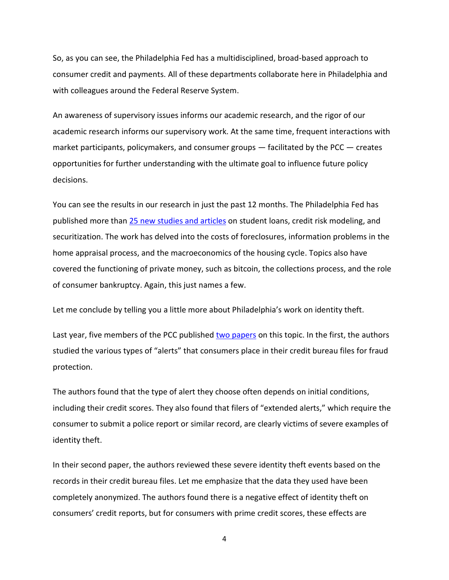So, as you can see, the Philadelphia Fed has a multidisciplined, broad-based approach to consumer credit and payments. All of these departments collaborate here in Philadelphia and with colleagues around the Federal Reserve System.

An awareness of supervisory issues informs our academic research, and the rigor of our academic research informs our supervisory work. At the same time, frequent interactions with market participants, policymakers, and consumer groups ― facilitated by the PCC ― creates opportunities for further understanding with the ultimate goal to influence future policy decisions.

You can see the results in our research in just the past 12 months. The Philadelphia Fed has published more than [25 new studies and articles](https://www.philadelphiafed.org/research-and-data/publications/working-papers) on student loans, credit risk modeling, and securitization. The work has delved into the costs of foreclosures, information problems in the home appraisal process, and the macroeconomics of the housing cycle. Topics also have covered the functioning of private money, such as bitcoin, the collections process, and the role of consumer bankruptcy. Again, this just names a few.

Let me conclude by telling you a little more about Philadelphia's work on identity theft.

Last year, five members of the PCC publishe[d two papers](https://www.philadelphiafed.org/consumer-credit-and-payments/payment-cards-center/publications/discussion-papers/2014/identitytheft) on this topic. In the first, the authors studied the various types of "alerts" that consumers place in their credit bureau files for fraud protection.

The authors found that the type of alert they choose often depends on initial conditions, including their credit scores. They also found that filers of "extended alerts," which require the consumer to submit a police report or similar record, are clearly victims of severe examples of identity theft.

In their second paper, the authors reviewed these severe identity theft events based on the records in their credit bureau files. Let me emphasize that the data they used have been completely anonymized. The authors found there is a negative effect of identity theft on consumers' credit reports, but for consumers with prime credit scores, these effects are